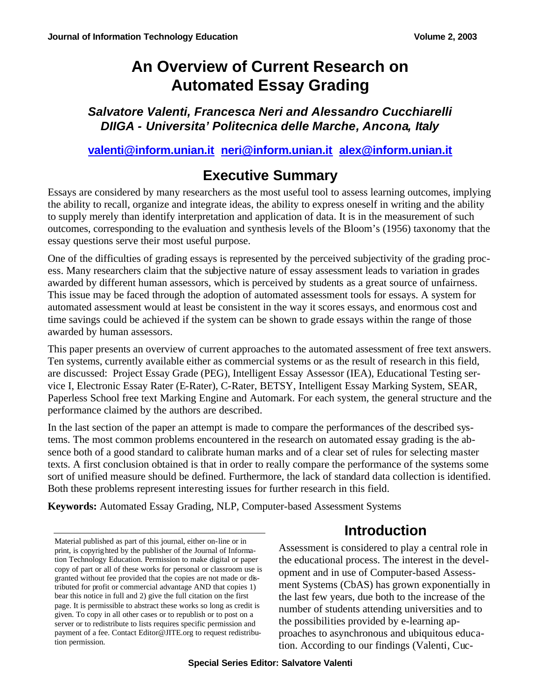*Salvatore Valenti, Francesca Neri and Alessandro Cucchiarelli DIIGA - Universita' Politecnica delle Marche, Ancona, Italy*

**valenti@inform.unian.it neri@inform.unian.it alex@inform.unian.it**

## **Executive Summary**

Essays are considered by many researchers as the most useful tool to assess learning outcomes, implying the ability to recall, organize and integrate ideas, the ability to express oneself in writing and the ability to supply merely than identify interpretation and application of data. It is in the measurement of such outcomes, corresponding to the evaluation and synthesis levels of the Bloom's (1956) taxonomy that the essay questions serve their most useful purpose.

One of the difficulties of grading essays is represented by the perceived subjectivity of the grading process. Many researchers claim that the subjective nature of essay assessment leads to variation in grades awarded by different human assessors, which is perceived by students as a great source of unfairness. This issue may be faced through the adoption of automated assessment tools for essays. A system for automated assessment would at least be consistent in the way it scores essays, and enormous cost and time savings could be achieved if the system can be shown to grade essays within the range of those awarded by human assessors.

This paper presents an overview of current approaches to the automated assessment of free text answers. Ten systems, currently available either as commercial systems or as the result of research in this field, are discussed: Project Essay Grade (PEG), Intelligent Essay Assessor (IEA), Educational Testing service I, Electronic Essay Rater (E-Rater), C-Rater, BETSY, Intelligent Essay Marking System, SEAR, Paperless School free text Marking Engine and Automark. For each system, the general structure and the performance claimed by the authors are described.

In the last section of the paper an attempt is made to compare the performances of the described systems. The most common problems encountered in the research on automated essay grading is the absence both of a good standard to calibrate human marks and of a clear set of rules for selecting master texts. A first conclusion obtained is that in order to really compare the performance of the systems some sort of unified measure should be defined. Furthermore, the lack of standard data collection is identified. Both these problems represent interesting issues for further research in this field.

**Keywords:** Automated Essay Grading, NLP, Computer-based Assessment Systems

Material published as part of this journal, either on-line or in print, is copyrighted by the publisher of the Journal of Information Technology Education. Permission to make digital or paper copy of part or all of these works for personal or classroom use is granted without fee provided that the copies are not made or distributed for profit or commercial advantage AND that copies 1) bear this notice in full and 2) give the full citation on the first page. It is permissible to abstract these works so long as credit is given. To copy in all other cases or to republish or to post on a server or to redistribute to lists requires specific permission and payment of a fee. Contact Editor@JITE.org to request redistribution permission.

## **Introduction**

Assessment is considered to play a central role in the educational process. The interest in the development and in use of Computer-based Assessment Systems (CbAS) has grown exponentially in the last few years, due both to the increase of the number of students attending universities and to the possibilities provided by e-learning approaches to asynchronous and ubiquitous education. According to our findings (Valenti, Cuc-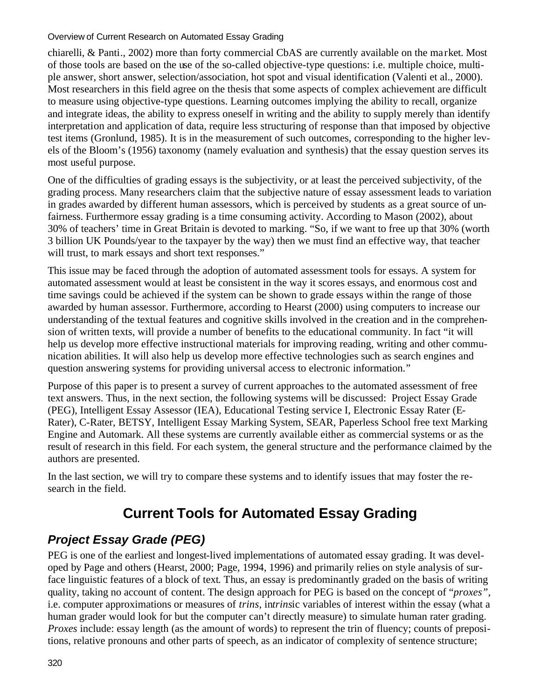chiarelli, & Panti., 2002) more than forty commercial CbAS are currently available on the market. Most of those tools are based on the use of the so-called objective-type questions: i.e. multiple choice, multiple answer, short answer, selection/association, hot spot and visual identification (Valenti et al., 2000). Most researchers in this field agree on the thesis that some aspects of complex achievement are difficult to measure using objective-type questions. Learning outcomes implying the ability to recall, organize and integrate ideas, the ability to express oneself in writing and the ability to supply merely than identify interpretation and application of data, require less structuring of response than that imposed by objective test items (Gronlund, 1985). It is in the measurement of such outcomes, corresponding to the higher levels of the Bloom's (1956) taxonomy (namely evaluation and synthesis) that the essay question serves its most useful purpose.

One of the difficulties of grading essays is the subjectivity, or at least the perceived subjectivity, of the grading process. Many researchers claim that the subjective nature of essay assessment leads to variation in grades awarded by different human assessors, which is perceived by students as a great source of unfairness. Furthermore essay grading is a time consuming activity. According to Mason (2002), about 30% of teachers' time in Great Britain is devoted to marking. "So, if we want to free up that 30% (worth 3 billion UK Pounds/year to the taxpayer by the way) then we must find an effective way, that teacher will trust, to mark essays and short text responses."

This issue may be faced through the adoption of automated assessment tools for essays. A system for automated assessment would at least be consistent in the way it scores essays, and enormous cost and time savings could be achieved if the system can be shown to grade essays within the range of those awarded by human assessor. Furthermore, according to Hearst (2000) using computers to increase our understanding of the textual features and cognitive skills involved in the creation and in the comprehension of written texts, will provide a number of benefits to the educational community. In fact "it will help us develop more effective instructional materials for improving reading, writing and other communication abilities. It will also help us develop more effective technologies such as search engines and question answering systems for providing universal access to electronic information."

Purpose of this paper is to present a survey of current approaches to the automated assessment of free text answers. Thus, in the next section, the following systems will be discussed: Project Essay Grade (PEG), Intelligent Essay Assessor (IEA), Educational Testing service I, Electronic Essay Rater (E-Rater), C-Rater, BETSY, Intelligent Essay Marking System, SEAR, Paperless School free text Marking Engine and Automark. All these systems are currently available either as commercial systems or as the result of research in this field. For each system, the general structure and the performance claimed by the authors are presented.

In the last section, we will try to compare these systems and to identify issues that may foster the research in the field.

# **Current Tools for Automated Essay Grading**

#### *Project Essay Grade (PEG)*

PEG is one of the earliest and longest-lived implementations of automated essay grading. It was developed by Page and others (Hearst, 2000; Page, 1994, 1996) and primarily relies on style analysis of surface linguistic features of a block of text. Thus, an essay is predominantly graded on the basis of writing quality, taking no account of content. The design approach for PEG is based on the concept of "*proxes"*, i.e. computer approximations or measures of *trins*, in*trins*ic variables of interest within the essay (what a human grader would look for but the computer can't directly measure) to simulate human rater grading. *Proxes* include: essay length (as the amount of words) to represent the trin of fluency; counts of prepositions, relative pronouns and other parts of speech, as an indicator of complexity of sentence structure;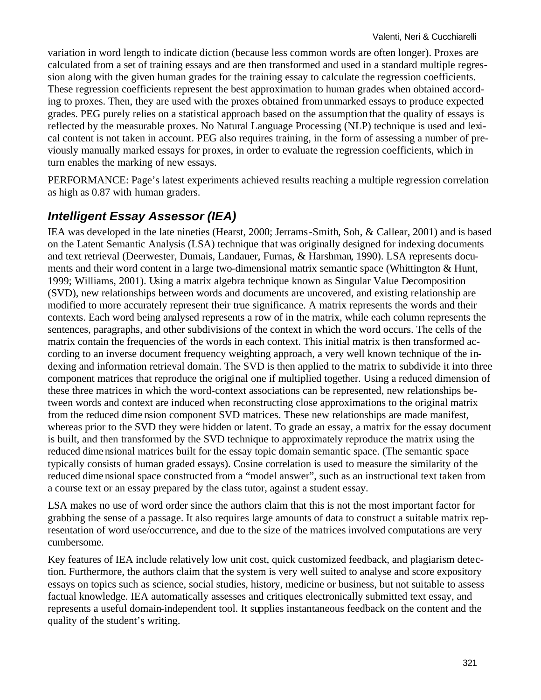variation in word length to indicate diction (because less common words are often longer). Proxes are calculated from a set of training essays and are then transformed and used in a standard multiple regression along with the given human grades for the training essay to calculate the regression coefficients. These regression coefficients represent the best approximation to human grades when obtained according to proxes. Then, they are used with the proxes obtained from unmarked essays to produce expected grades. PEG purely relies on a statistical approach based on the assumption that the quality of essays is reflected by the measurable proxes. No Natural Language Processing (NLP) technique is used and lexical content is not taken in account. PEG also requires training, in the form of assessing a number of previously manually marked essays for proxes, in order to evaluate the regression coefficients, which in turn enables the marking of new essays.

PERFORMANCE: Page's latest experiments achieved results reaching a multiple regression correlation as high as 0.87 with human graders.

#### *Intelligent Essay Assessor (IEA)*

IEA was developed in the late nineties (Hearst, 2000; Jerrams-Smith, Soh, & Callear, 2001) and is based on the Latent Semantic Analysis (LSA) technique that was originally designed for indexing documents and text retrieval (Deerwester, Dumais, Landauer, Furnas, & Harshman, 1990). LSA represents documents and their word content in a large two-dimensional matrix semantic space (Whittington & Hunt, 1999; Williams, 2001). Using a matrix algebra technique known as Singular Value Decomposition (SVD), new relationships between words and documents are uncovered, and existing relationship are modified to more accurately represent their true significance. A matrix represents the words and their contexts. Each word being analysed represents a row of in the matrix, while each column represents the sentences, paragraphs, and other subdivisions of the context in which the word occurs. The cells of the matrix contain the frequencies of the words in each context. This initial matrix is then transformed according to an inverse document frequency weighting approach, a very well known technique of the indexing and information retrieval domain. The SVD is then applied to the matrix to subdivide it into three component matrices that reproduce the original one if multiplied together. Using a reduced dimension of these three matrices in which the word-context associations can be represented, new relationships between words and context are induced when reconstructing close approximations to the original matrix from the reduced dime nsion component SVD matrices. These new relationships are made manifest, whereas prior to the SVD they were hidden or latent. To grade an essay, a matrix for the essay document is built, and then transformed by the SVD technique to approximately reproduce the matrix using the reduced dime nsional matrices built for the essay topic domain semantic space. (The semantic space typically consists of human graded essays). Cosine correlation is used to measure the similarity of the reduced dime nsional space constructed from a "model answer", such as an instructional text taken from a course text or an essay prepared by the class tutor, against a student essay.

LSA makes no use of word order since the authors claim that this is not the most important factor for grabbing the sense of a passage. It also requires large amounts of data to construct a suitable matrix representation of word use/occurrence, and due to the size of the matrices involved computations are very cumbersome.

Key features of IEA include relatively low unit cost, quick customized feedback, and plagiarism detection. Furthermore, the authors claim that the system is very well suited to analyse and score expository essays on topics such as science, social studies, history, medicine or business, but not suitable to assess factual knowledge. IEA automatically assesses and critiques electronically submitted text essay, and represents a useful domain-independent tool. It supplies instantaneous feedback on the content and the quality of the student's writing.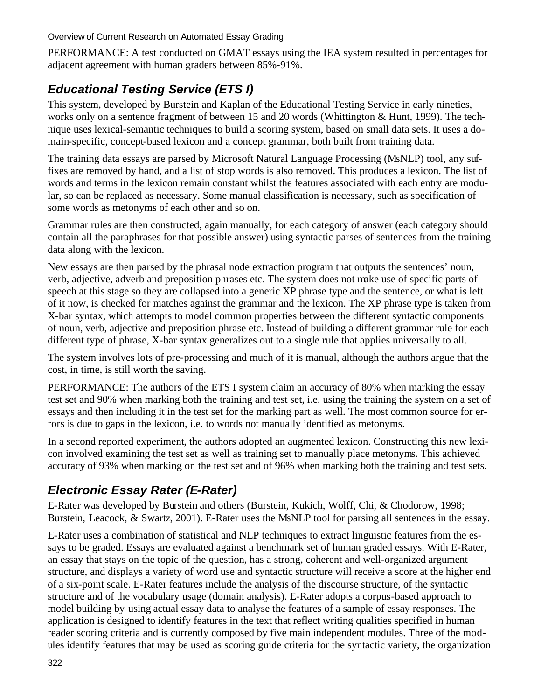PERFORMANCE: A test conducted on GMAT essays using the IEA system resulted in percentages for adjacent agreement with human graders between 85%-91%.

## *Educational Testing Service (ETS I)*

This system, developed by Burstein and Kaplan of the Educational Testing Service in early nineties, works only on a sentence fragment of between 15 and 20 words (Whittington & Hunt, 1999). The technique uses lexical-semantic techniques to build a scoring system, based on small data sets. It uses a domain-specific, concept-based lexicon and a concept grammar, both built from training data.

The training data essays are parsed by Microsoft Natural Language Processing (MsNLP) tool, any suffixes are removed by hand, and a list of stop words is also removed. This produces a lexicon. The list of words and terms in the lexicon remain constant whilst the features associated with each entry are modular, so can be replaced as necessary. Some manual classification is necessary, such as specification of some words as metonyms of each other and so on.

Grammar rules are then constructed, again manually, for each category of answer (each category should contain all the paraphrases for that possible answer) using syntactic parses of sentences from the training data along with the lexicon.

New essays are then parsed by the phrasal node extraction program that outputs the sentences' noun, verb, adjective, adverb and preposition phrases etc. The system does not make use of specific parts of speech at this stage so they are collapsed into a generic XP phrase type and the sentence, or what is left of it now, is checked for matches against the grammar and the lexicon. The XP phrase type is taken from X-bar syntax, which attempts to model common properties between the different syntactic components of noun, verb, adjective and preposition phrase etc. Instead of building a different grammar rule for each different type of phrase, X-bar syntax generalizes out to a single rule that applies universally to all.

The system involves lots of pre-processing and much of it is manual, although the authors argue that the cost, in time, is still worth the saving.

PERFORMANCE: The authors of the ETS I system claim an accuracy of 80% when marking the essay test set and 90% when marking both the training and test set, i.e. using the training the system on a set of essays and then including it in the test set for the marking part as well. The most common source for errors is due to gaps in the lexicon, i.e. to words not manually identified as metonyms.

In a second reported experiment, the authors adopted an augmented lexicon. Constructing this new lexicon involved examining the test set as well as training set to manually place metonyms. This achieved accuracy of 93% when marking on the test set and of 96% when marking both the training and test sets.

## *Electronic Essay Rater (E-Rater)*

E-Rater was developed by Burstein and others (Burstein, Kukich, Wolff, Chi, & Chodorow, 1998; Burstein, Leacock, & Swartz, 2001). E-Rater uses the MsNLP tool for parsing all sentences in the essay.

E-Rater uses a combination of statistical and NLP techniques to extract linguistic features from the essays to be graded. Essays are evaluated against a benchmark set of human graded essays. With E-Rater, an essay that stays on the topic of the question, has a strong, coherent and well-organized argument structure, and displays a variety of word use and syntactic structure will receive a score at the higher end of a six-point scale. E-Rater features include the analysis of the discourse structure, of the syntactic structure and of the vocabulary usage (domain analysis). E-Rater adopts a corpus-based approach to model building by using actual essay data to analyse the features of a sample of essay responses. The application is designed to identify features in the text that reflect writing qualities specified in human reader scoring criteria and is currently composed by five main independent modules. Three of the modules identify features that may be used as scoring guide criteria for the syntactic variety, the organization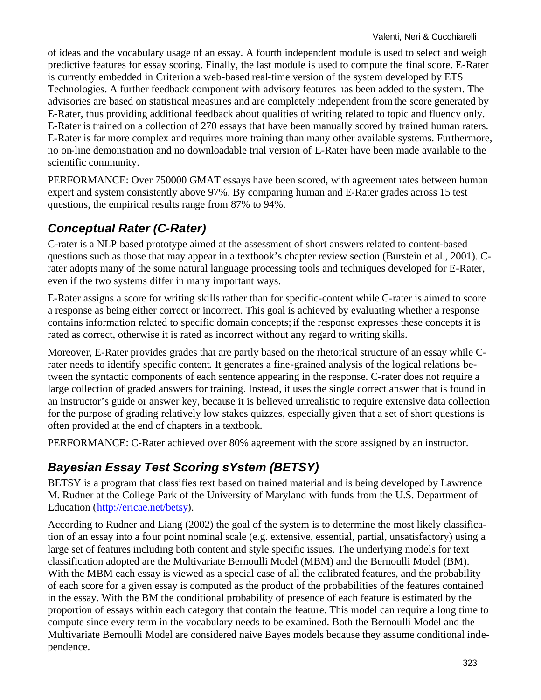of ideas and the vocabulary usage of an essay. A fourth independent module is used to select and weigh predictive features for essay scoring. Finally, the last module is used to compute the final score. E-Rater is currently embedded in Criterion a web-based real-time version of the system developed by ETS Technologies. A further feedback component with advisory features has been added to the system. The advisories are based on statistical measures and are completely independent from the score generated by E-Rater, thus providing additional feedback about qualities of writing related to topic and fluency only. E-Rater is trained on a collection of 270 essays that have been manually scored by trained human raters. E-Rater is far more complex and requires more training than many other available systems. Furthermore, no on-line demonstration and no downloadable trial version of E-Rater have been made available to the scientific community.

PERFORMANCE: Over 750000 GMAT essays have been scored, with agreement rates between human expert and system consistently above 97%. By comparing human and E-Rater grades across 15 test questions, the empirical results range from 87% to 94%.

## *Conceptual Rater (C-Rater)*

C-rater is a NLP based prototype aimed at the assessment of short answers related to content-based questions such as those that may appear in a textbook's chapter review section (Burstein et al., 2001). Crater adopts many of the some natural language processing tools and techniques developed for E-Rater, even if the two systems differ in many important ways.

E-Rater assigns a score for writing skills rather than for specific-content while C-rater is aimed to score a response as being either correct or incorrect. This goal is achieved by evaluating whether a response contains information related to specific domain concepts; if the response expresses these concepts it is rated as correct, otherwise it is rated as incorrect without any regard to writing skills.

Moreover, E-Rater provides grades that are partly based on the rhetorical structure of an essay while Crater needs to identify specific content. It generates a fine-grained analysis of the logical relations between the syntactic components of each sentence appearing in the response. C-rater does not require a large collection of graded answers for training. Instead, it uses the single correct answer that is found in an instructor's guide or answer key, because it is believed unrealistic to require extensive data collection for the purpose of grading relatively low stakes quizzes, especially given that a set of short questions is often provided at the end of chapters in a textbook.

PERFORMANCE: C-Rater achieved over 80% agreement with the score assigned by an instructor.

## *Bayesian Essay Test Scoring sYstem (BETSY)*

BETSY is a program that classifies text based on trained material and is being developed by Lawrence M. Rudner at the College Park of the University of Maryland with funds from the U.S. Department of Education (http://ericae.net/betsy).

According to Rudner and Liang (2002) the goal of the system is to determine the most likely classification of an essay into a four point nominal scale (e.g. extensive, essential, partial, unsatisfactory) using a large set of features including both content and style specific issues. The underlying models for text classification adopted are the Multivariate Bernoulli Model (MBM) and the Bernoulli Model (BM). With the MBM each essay is viewed as a special case of all the calibrated features, and the probability of each score for a given essay is computed as the product of the probabilities of the features contained in the essay. With the BM the conditional probability of presence of each feature is estimated by the proportion of essays within each category that contain the feature. This model can require a long time to compute since every term in the vocabulary needs to be examined. Both the Bernoulli Model and the Multivariate Bernoulli Model are considered naive Bayes models because they assume conditional independence.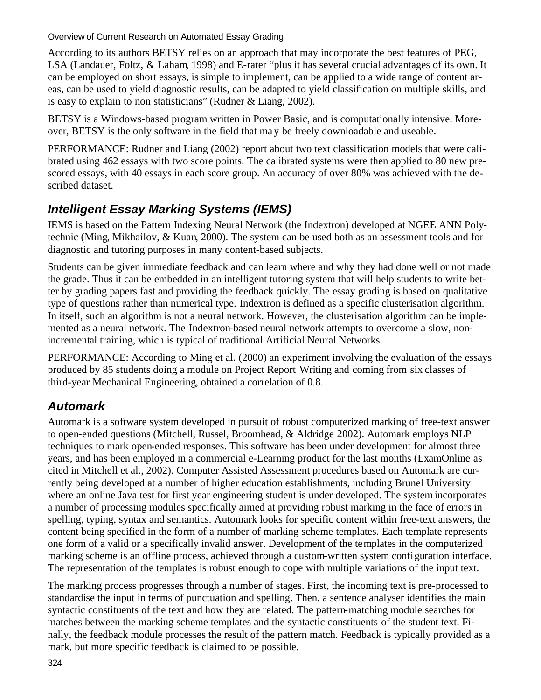According to its authors BETSY relies on an approach that may incorporate the best features of PEG, LSA (Landauer, Foltz, & Laham, 1998) and E-rater "plus it has several crucial advantages of its own. It can be employed on short essays, is simple to implement, can be applied to a wide range of content areas, can be used to yield diagnostic results, can be adapted to yield classification on multiple skills, and is easy to explain to non statisticians" (Rudner & Liang, 2002).

BETSY is a Windows-based program written in Power Basic, and is computationally intensive. Moreover, BETSY is the only software in the field that ma y be freely downloadable and useable.

PERFORMANCE: Rudner and Liang (2002) report about two text classification models that were calibrated using 462 essays with two score points. The calibrated systems were then applied to 80 new prescored essays, with 40 essays in each score group. An accuracy of over 80% was achieved with the described dataset.

### *Intelligent Essay Marking Systems (IEMS)*

IEMS is based on the Pattern Indexing Neural Network (the Indextron) developed at NGEE ANN Polytechnic (Ming, Mikhailov, & Kuan, 2000). The system can be used both as an assessment tools and for diagnostic and tutoring purposes in many content-based subjects.

Students can be given immediate feedback and can learn where and why they had done well or not made the grade. Thus it can be embedded in an intelligent tutoring system that will help students to write better by grading papers fast and providing the feedback quickly. The essay grading is based on qualitative type of questions rather than numerical type. Indextron is defined as a specific clusterisation algorithm. In itself, such an algorithm is not a neural network. However, the clusterisation algorithm can be implemented as a neural network. The Indextron-based neural network attempts to overcome a slow, nonincremental training, which is typical of traditional Artificial Neural Networks.

PERFORMANCE: According to Ming et al. (2000) an experiment involving the evaluation of the essays produced by 85 students doing a module on Project Report Writing and coming from six classes of third-year Mechanical Engineering, obtained a correlation of 0.8.

#### *Automark*

Automark is a software system developed in pursuit of robust computerized marking of free-text answer to open-ended questions (Mitchell, Russel, Broomhead, & Aldridge 2002). Automark employs NLP techniques to mark open-ended responses. This software has been under development for almost three years, and has been employed in a commercial e-Learning product for the last months (ExamOnline as cited in Mitchell et al., 2002). Computer Assisted Assessment procedures based on Automark are currently being developed at a number of higher education establishments, including Brunel University where an online Java test for first year engineering student is under developed. The system incorporates a number of processing modules specifically aimed at providing robust marking in the face of errors in spelling, typing, syntax and semantics. Automark looks for specific content within free-text answers, the content being specified in the form of a number of marking scheme templates. Each template represents one form of a valid or a specifically invalid answer. Development of the templates in the computerized marking scheme is an offline process, achieved through a custom-written system configuration interface. The representation of the templates is robust enough to cope with multiple variations of the input text.

The marking process progresses through a number of stages. First, the incoming text is pre-processed to standardise the input in terms of punctuation and spelling. Then, a sentence analyser identifies the main syntactic constituents of the text and how they are related. The pattern-matching module searches for matches between the marking scheme templates and the syntactic constituents of the student text. Finally, the feedback module processes the result of the pattern match. Feedback is typically provided as a mark, but more specific feedback is claimed to be possible.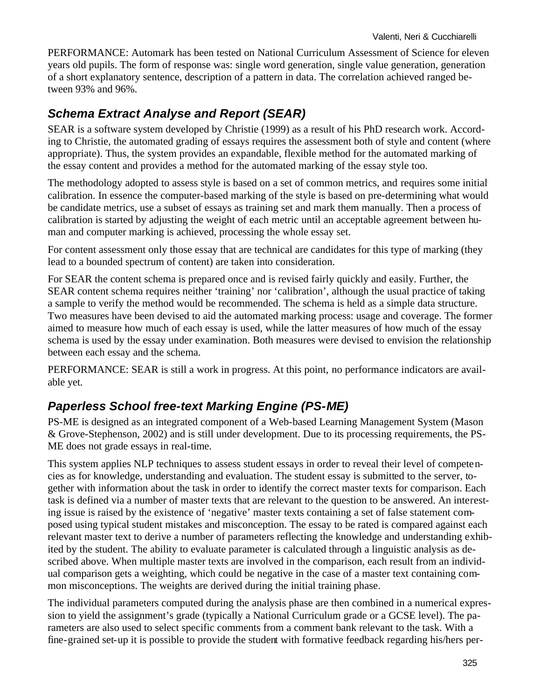PERFORMANCE: Automark has been tested on National Curriculum Assessment of Science for eleven years old pupils. The form of response was: single word generation, single value generation, generation of a short explanatory sentence, description of a pattern in data. The correlation achieved ranged between 93% and 96%.

### *Schema Extract Analyse and Report (SEAR)*

SEAR is a software system developed by Christie (1999) as a result of his PhD research work. According to Christie, the automated grading of essays requires the assessment both of style and content (where appropriate). Thus, the system provides an expandable, flexible method for the automated marking of the essay content and provides a method for the automated marking of the essay style too.

The methodology adopted to assess style is based on a set of common metrics, and requires some initial calibration. In essence the computer-based marking of the style is based on pre-determining what would be candidate metrics, use a subset of essays as training set and mark them manually. Then a process of calibration is started by adjusting the weight of each metric until an acceptable agreement between human and computer marking is achieved, processing the whole essay set.

For content assessment only those essay that are technical are candidates for this type of marking (they lead to a bounded spectrum of content) are taken into consideration.

For SEAR the content schema is prepared once and is revised fairly quickly and easily. Further, the SEAR content schema requires neither 'training' nor 'calibration', although the usual practice of taking a sample to verify the method would be recommended. The schema is held as a simple data structure. Two measures have been devised to aid the automated marking process: usage and coverage. The former aimed to measure how much of each essay is used, while the latter measures of how much of the essay schema is used by the essay under examination. Both measures were devised to envision the relationship between each essay and the schema.

PERFORMANCE: SEAR is still a work in progress. At this point, no performance indicators are available yet.

#### *Paperless School free-text Marking Engine (PS-ME)*

PS-ME is designed as an integrated component of a Web-based Learning Management System (Mason & Grove-Stephenson, 2002) and is still under development. Due to its processing requirements, the PS-ME does not grade essays in real-time.

This system applies NLP techniques to assess student essays in order to reveal their level of competencies as for knowledge, understanding and evaluation. The student essay is submitted to the server, together with information about the task in order to identify the correct master texts for comparison. Each task is defined via a number of master texts that are relevant to the question to be answered. An interesting issue is raised by the existence of 'negative' master texts containing a set of false statement composed using typical student mistakes and misconception. The essay to be rated is compared against each relevant master text to derive a number of parameters reflecting the knowledge and understanding exhibited by the student. The ability to evaluate parameter is calculated through a linguistic analysis as described above. When multiple master texts are involved in the comparison, each result from an individual comparison gets a weighting, which could be negative in the case of a master text containing common misconceptions. The weights are derived during the initial training phase.

The individual parameters computed during the analysis phase are then combined in a numerical expression to yield the assignment's grade (typically a National Curriculum grade or a GCSE level). The parameters are also used to select specific comments from a comment bank relevant to the task. With a fine-grained set-up it is possible to provide the student with formative feedback regarding his/hers per-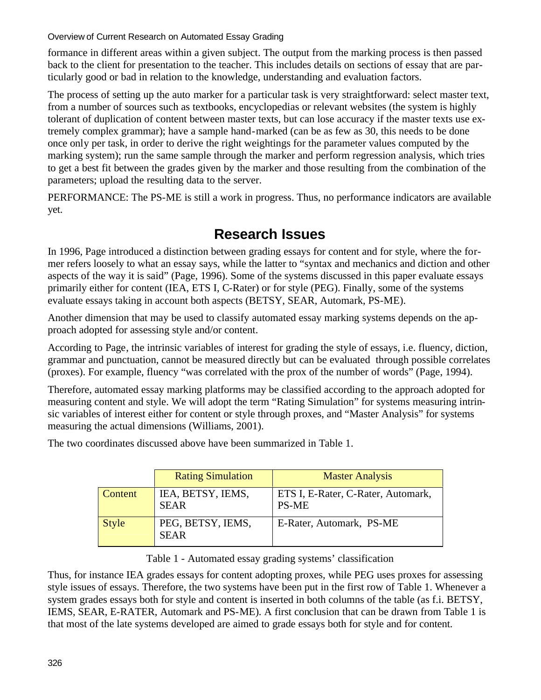formance in different areas within a given subject. The output from the marking process is then passed back to the client for presentation to the teacher. This includes details on sections of essay that are particularly good or bad in relation to the knowledge, understanding and evaluation factors.

The process of setting up the auto marker for a particular task is very straightforward: select master text, from a number of sources such as textbooks, encyclopedias or relevant websites (the system is highly tolerant of duplication of content between master texts, but can lose accuracy if the master texts use extremely complex grammar); have a sample hand-marked (can be as few as 30, this needs to be done once only per task, in order to derive the right weightings for the parameter values computed by the marking system); run the same sample through the marker and perform regression analysis, which tries to get a best fit between the grades given by the marker and those resulting from the combination of the parameters; upload the resulting data to the server.

PERFORMANCE: The PS-ME is still a work in progress. Thus, no performance indicators are available yet.

## **Research Issues**

In 1996, Page introduced a distinction between grading essays for content and for style, where the former refers loosely to what an essay says, while the latter to "syntax and mechanics and diction and other aspects of the way it is said" (Page, 1996). Some of the systems discussed in this paper evaluate essays primarily either for content (IEA, ETS I, C-Rater) or for style (PEG). Finally, some of the systems evaluate essays taking in account both aspects (BETSY, SEAR, Automark, PS-ME).

Another dimension that may be used to classify automated essay marking systems depends on the approach adopted for assessing style and/or content.

According to Page, the intrinsic variables of interest for grading the style of essays, i.e. fluency, diction, grammar and punctuation, cannot be measured directly but can be evaluated through possible correlates (proxes). For example, fluency "was correlated with the prox of the number of words" (Page, 1994).

Therefore, automated essay marking platforms may be classified according to the approach adopted for measuring content and style. We will adopt the term "Rating Simulation" for systems measuring intrinsic variables of interest either for content or style through proxes, and "Master Analysis" for systems measuring the actual dimensions (Williams, 2001).

The two coordinates discussed above have been summarized in Table 1.

|                | <b>Rating Simulation</b>         | <b>Master Analysis</b>                             |
|----------------|----------------------------------|----------------------------------------------------|
| <b>Content</b> | IEA, BETSY, IEMS,<br><b>SEAR</b> | ETS I, E-Rater, C-Rater, Automark,<br><b>PS-ME</b> |
| <b>Style</b>   | PEG, BETSY, IEMS,<br><b>SEAR</b> | E-Rater, Automark, PS-ME                           |

Table 1 - Automated essay grading systems' classification

Thus, for instance IEA grades essays for content adopting proxes, while PEG uses proxes for assessing style issues of essays. Therefore, the two systems have been put in the first row of Table 1. Whenever a system grades essays both for style and content is inserted in both columns of the table (as f.i. BETSY, IEMS, SEAR, E-RATER, Automark and PS-ME). A first conclusion that can be drawn from Table 1 is that most of the late systems developed are aimed to grade essays both for style and for content.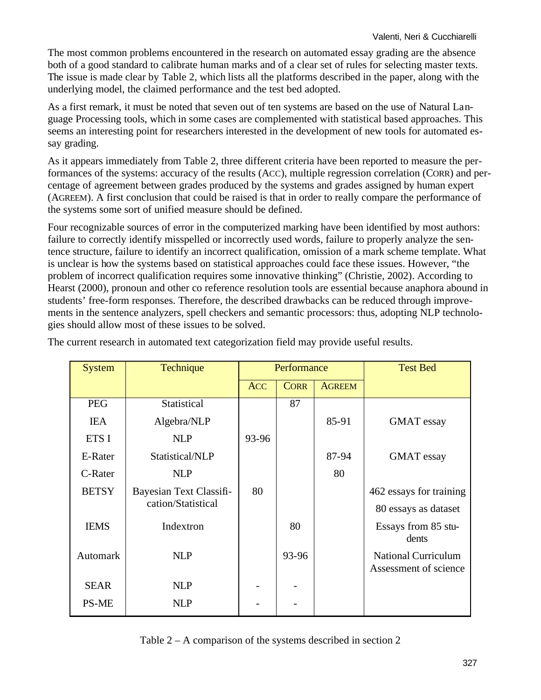The most common problems encountered in the research on automated essay grading are the absence both of a good standard to calibrate human marks and of a clear set of rules for selecting master texts. The issue is made clear by Table 2, which lists all the platforms described in the paper, along with the underlying model, the claimed performance and the test bed adopted.

As a first remark, it must be noted that seven out of ten systems are based on the use of Natural Language Processing tools, which in some cases are complemented with statistical based approaches. This seems an interesting point for researchers interested in the development of new tools for automated essay grading.

As it appears immediately from Table 2, three different criteria have been reported to measure the performances of the systems: accuracy of the results (ACC), multiple regression correlation (CORR) and percentage of agreement between grades produced by the systems and grades assigned by human expert (AGREEM). A first conclusion that could be raised is that in order to really compare the performance of the systems some sort of unified measure should be defined.

Four recognizable sources of error in the computerized marking have been identified by most authors: failure to correctly identify misspelled or incorrectly used words, failure to properly analyze the sentence structure, failure to identify an incorrect qualification, omission of a mark scheme template. What is unclear is how the systems based on statistical approaches could face these issues. However, "the problem of incorrect qualification requires some innovative thinking" (Christie, 2002). According to Hearst (2000), pronoun and other co reference resolution tools are essential because anaphora abound in students' free-form responses. Therefore, the described drawbacks can be reduced through improvements in the sentence analyzers, spell checkers and semantic processors: thus, adopting NLP technologies should allow most of these issues to be solved.

| <b>System</b> | Technique               | Performance |             |               | <b>Test Bed</b>                                     |
|---------------|-------------------------|-------------|-------------|---------------|-----------------------------------------------------|
|               |                         | <b>ACC</b>  | <b>CORR</b> | <b>AGREEM</b> |                                                     |
| <b>PEG</b>    | Statistical             |             | 87          |               |                                                     |
| <b>IEA</b>    | Algebra/NLP             |             |             | 85-91         | <b>GMAT</b> essay                                   |
| ETS I         | <b>NLP</b>              | 93-96       |             |               |                                                     |
| E-Rater       | Statistical/NLP         |             |             | 87-94         | <b>GMAT</b> essay                                   |
| C-Rater       | <b>NLP</b>              |             |             | 80            |                                                     |
| <b>BETSY</b>  | Bayesian Text Classifi- | 80          |             |               | 462 essays for training                             |
|               | cation/Statistical      |             |             |               | 80 essays as dataset                                |
| <b>IEMS</b>   | Indextron               |             | 80          |               | Essays from 85 stu-<br>dents                        |
| Automark      | <b>NLP</b>              |             | 93-96       |               | <b>National Curriculum</b><br>Assessment of science |
| <b>SEAR</b>   | <b>NLP</b>              |             |             |               |                                                     |
| <b>PS-ME</b>  | <b>NLP</b>              |             |             |               |                                                     |

The current research in automated text categorization field may provide useful results.

Table 2 – A comparison of the systems described in section 2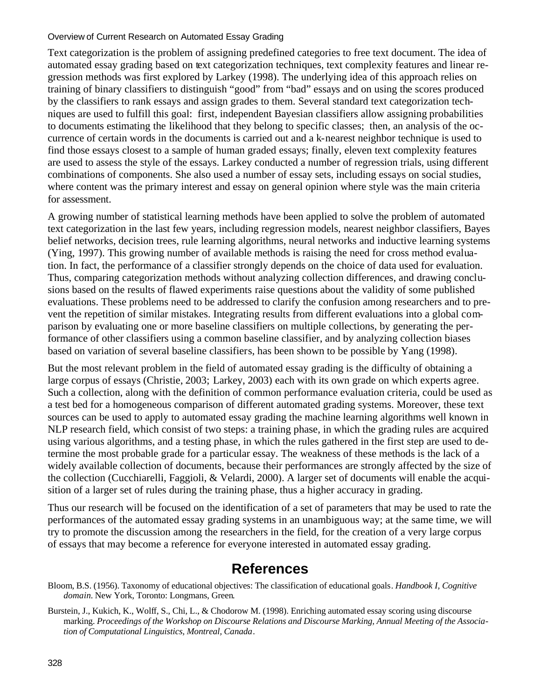Text categorization is the problem of assigning predefined categories to free text document. The idea of automated essay grading based on text categorization techniques, text complexity features and linear regression methods was first explored by Larkey (1998). The underlying idea of this approach relies on training of binary classifiers to distinguish "good" from "bad" essays and on using the scores produced by the classifiers to rank essays and assign grades to them. Several standard text categorization techniques are used to fulfill this goal: first, independent Bayesian classifiers allow assigning probabilities to documents estimating the likelihood that they belong to specific classes; then, an analysis of the occurrence of certain words in the documents is carried out and a k-nearest neighbor technique is used to find those essays closest to a sample of human graded essays; finally, eleven text complexity features are used to assess the style of the essays. Larkey conducted a number of regression trials, using different combinations of components. She also used a number of essay sets, including essays on social studies, where content was the primary interest and essay on general opinion where style was the main criteria for assessment.

A growing number of statistical learning methods have been applied to solve the problem of automated text categorization in the last few years, including regression models, nearest neighbor classifiers, Bayes belief networks, decision trees, rule learning algorithms, neural networks and inductive learning systems (Ying, 1997). This growing number of available methods is raising the need for cross method evaluation. In fact, the performance of a classifier strongly depends on the choice of data used for evaluation. Thus, comparing categorization methods without analyzing collection differences, and drawing conclusions based on the results of flawed experiments raise questions about the validity of some published evaluations. These problems need to be addressed to clarify the confusion among researchers and to prevent the repetition of similar mistakes. Integrating results from different evaluations into a global comparison by evaluating one or more baseline classifiers on multiple collections, by generating the performance of other classifiers using a common baseline classifier, and by analyzing collection biases based on variation of several baseline classifiers, has been shown to be possible by Yang (1998).

But the most relevant problem in the field of automated essay grading is the difficulty of obtaining a large corpus of essays (Christie, 2003; Larkey, 2003) each with its own grade on which experts agree. Such a collection, along with the definition of common performance evaluation criteria, could be used as a test bed for a homogeneous comparison of different automated grading systems. Moreover, these text sources can be used to apply to automated essay grading the machine learning algorithms well known in NLP research field, which consist of two steps: a training phase, in which the grading rules are acquired using various algorithms, and a testing phase, in which the rules gathered in the first step are used to determine the most probable grade for a particular essay. The weakness of these methods is the lack of a widely available collection of documents, because their performances are strongly affected by the size of the collection (Cucchiarelli, Faggioli, & Velardi, 2000). A larger set of documents will enable the acquisition of a larger set of rules during the training phase, thus a higher accuracy in grading.

Thus our research will be focused on the identification of a set of parameters that may be used to rate the performances of the automated essay grading systems in an unambiguous way; at the same time, we will try to promote the discussion among the researchers in the field, for the creation of a very large corpus of essays that may become a reference for everyone interested in automated essay grading.

#### **References**

- Bloom, B.S. (1956). Taxonomy of educational objectives: The classification of educational goals. *Handbook I, Cognitive domain.* New York, Toronto: Longmans, Green.
- Burstein, J., Kukich, K., Wolff, S., Chi, L., & Chodorow M. (1998). Enriching automated essay scoring using discourse marking. *Proceedings of the Workshop on Discourse Relations and Discourse Marking, Annual Meeting of the Association of Computational Linguistics, Montreal, Canada*.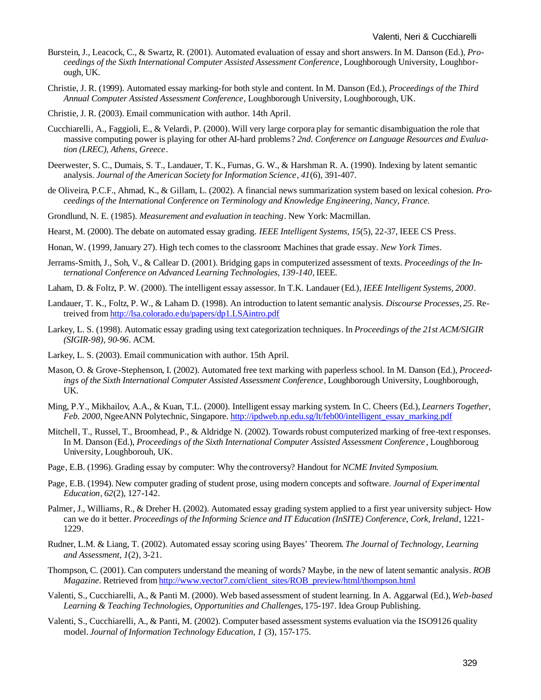- Burstein, J., Leacock, C., & Swartz, R. (2001). Automated evaluation of essay and short answers. In M. Danson (Ed.), *Proceedings of the Sixth International Computer Assisted Assessment Conference*, Loughborough University, Loughborough, UK.
- Christie, J. R. (1999). Automated essay marking-for both style and content. In M. Danson (Ed.), *Proceedings of the Third Annual Computer Assisted Assessment Conference*, Loughborough University, Loughborough, UK.
- Christie, J. R. (2003). Email communication with author. 14th April.
- Cucchiarelli, A., Faggioli, E., & Velardi, P. (2000). Will very large corpora play for semantic disambiguation the role that massive computing power is playing for other AI-hard problems? *2nd. Conference on Language Resources and Evaluation (LREC), Athens, Greece*.
- Deerwester, S. C., Dumais, S. T., Landauer, T. K., Furnas, G. W., & Harshman R. A. (1990). Indexing by latent semantic analysis. *Journal of the American Society for Information Science, 41*(6), 391-407.
- de Oliveira, P.C.F., Ahmad, K., & Gillam, L. (2002). A financial news summarization system based on lexical cohesion. *Proceedings of the International Conference on Terminology and Knowledge Engineering, Nancy, France.*
- Grondlund, N. E. (1985). *Measurement and evaluation in teaching*. New York: Macmillan.
- Hearst, M. (2000). The debate on automated essay grading. *IEEE Intelligent Systems, 15*(5), 22-37, IEEE CS Press.
- Honan, W. (1999, January 27). High tech comes to the classroom: Machines that grade essay. *New York Times*.
- Jerrams-Smith, J., Soh, V., & Callear D. (2001). Bridging gaps in computerized assessment of texts. *Proceedings of the International Conference on Advanced Learning Technologies, 139-140,* IEEE.
- Laham, D. & Foltz, P. W. (2000). The intelligent essay assessor. In T.K. Landauer (Ed.), *IEEE Intelligent Systems, 2000*.
- Landauer, T. K., Foltz, P. W., & Laham D. (1998). An introduction to latent semantic analysis. *Discourse Processes, 25*. Retreived from http://lsa.colorado.edu/papers/dp1.LSAintro.pdf
- Larkey, L. S. (1998). Automatic essay grading using text categorization techniques. In *Proceedings of the 21st ACM/SIGIR (SIGIR-98), 90-96*. ACM.
- Larkey, L. S. (2003). Email communication with author. 15th April.
- Mason, O. & Grove-Stephenson, I. (2002). Automated free text marking with paperless school. In M. Danson (Ed.), *Proceedings of the Sixth International Computer Assisted Assessment Conference*, Loughborough University, Loughborough, UK.
- Ming, P.Y., Mikhailov, A.A., & Kuan, T.L. (2000). Intelligent essay marking system. In C. Cheers (Ed.), *Learners Together, Feb. 2000*, NgeeANN Polytechnic, Singapore. http://ipdweb.np.edu.sg/lt/feb00/intelligent\_essay\_marking.pdf
- Mitchell, T., Russel, T., Broomhead, P., & Aldridge N. (2002). Towards robust computerized marking of free-text responses. In M. Danson (Ed.), *Proceedings of the Sixth International Computer Assisted Assessment Conference*, Loughboroug University, Loughborouh, UK.
- Page, E.B. (1996). Grading essay by computer: Why the controversy? Handout for *NCME Invited Symposium*.
- Page, E.B. (1994). New computer grading of student prose, using modern concepts and software. *Journal of Experimental Education, 62*(2), 127-142.
- Palmer, J., Williams, R., & Dreher H. (2002). Automated essay grading system applied to a first year university subject- How can we do it better. *Proceedings of the Informing Science and IT Education (InSITE) Conference, Cork, Ireland*, 1221- 1229.
- Rudner, L.M. & Liang, T. (2002). Automated essay scoring using Bayes' Theorem. *The Journal of Technology, Learning and Assessment, 1*(2)*,* 3-21.
- Thompson, C. (2001). Can computers understand the meaning of words? Maybe, in the new of latent semantic analysis. *ROB Magazine*. Retrieved from http://www.vector7.com/client\_sites/ROB\_preview/html/thompson.html
- Valenti, S., Cucchiarelli, A., & Panti M. (2000). Web based assessment of student learning. In A. Aggarwal (Ed.), *Web-based Learning & Teaching Technologies, Opportunities and Challenges*, 175-197. Idea Group Publishing.
- Valenti, S., Cucchiarelli, A., & Panti, M. (2002). Computer based assessment systems evaluation via the ISO9126 quality model. *Journal of Information Technology Education, 1* (3), 157-175.